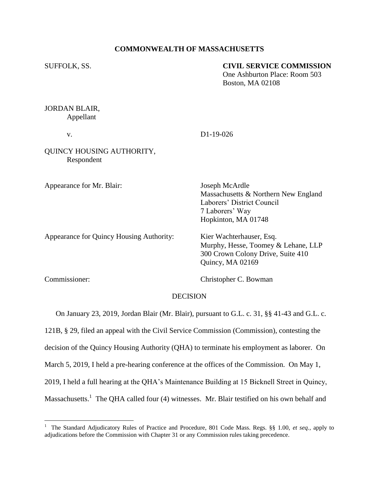### **COMMONWEALTH OF MASSACHUSETTS**

### SUFFOLK, SS. **CIVIL SERVICE COMMISSION**

One Ashburton Place: Room 503 Boston, MA 02108

## JORDAN BLAIR, Appellant

v. D1-19-026

# QUINCY HOUSING AUTHORITY, Respondent

Appearance for Mr. Blair: Joseph McArdle

Massachusetts & Northern New England Laborers' District Council 7 Laborers' Way Hopkinton, MA 01748

Murphy, Hesse, Toomey & Lehane, LLP 300 Crown Colony Drive, Suite 410

Appearance for Quincy Housing Authority: Kier Wachterhauser, Esq.

 $\overline{a}$ 

Commissioner: Christopher C. Bowman

Quincy, MA 02169

## DECISION

On January 23, 2019, Jordan Blair (Mr. Blair), pursuant to G.L. c. 31, §§ 41-43 and G.L. c.

121B, § 29, filed an appeal with the Civil Service Commission (Commission), contesting the

decision of the Quincy Housing Authority (QHA) to terminate his employment as laborer. On

March 5, 2019, I held a pre-hearing conference at the offices of the Commission. On May 1,

2019, I held a full hearing at the QHA's Maintenance Building at 15 Bicknell Street in Quincy,

Massachusetts.<sup>1</sup> The QHA called four (4) witnesses. Mr. Blair testified on his own behalf and

<sup>&</sup>lt;sup>1</sup> The Standard Adjudicatory Rules of Practice and Procedure, 801 Code Mass. Regs. §§ 1.00, et seq., apply to adjudications before the Commission with Chapter 31 or any Commission rules taking precedence.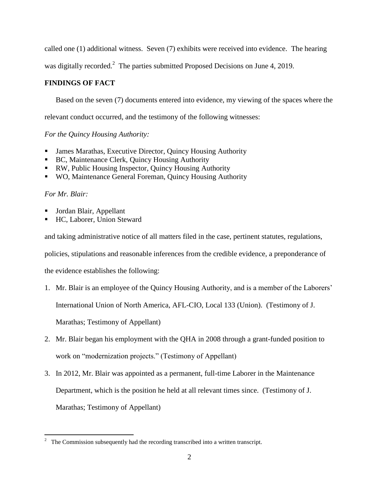called one (1) additional witness. Seven (7) exhibits were received into evidence. The hearing

was digitally recorded.<sup>2</sup> The parties submitted Proposed Decisions on June 4, 2019.

# **FINDINGS OF FACT**

Based on the seven (7) documents entered into evidence, my viewing of the spaces where the

relevant conduct occurred, and the testimony of the following witnesses:

*For the Quincy Housing Authority:*

- James Marathas, Executive Director, Quincy Housing Authority
- BC, Maintenance Clerk, Quincy Housing Authority
- RW, Public Housing Inspector, Quincy Housing Authority
- WO, Maintenance General Foreman, Quincy Housing Authority

# *For Mr. Blair:*

- Jordan Blair, Appellant
- HC, Laborer, Union Steward

and taking administrative notice of all matters filed in the case, pertinent statutes, regulations,

policies, stipulations and reasonable inferences from the credible evidence, a preponderance of

the evidence establishes the following:

1. Mr. Blair is an employee of the Quincy Housing Authority, and is a member of the Laborers'

International Union of North America, AFL-CIO, Local 133 (Union). (Testimony of J.

Marathas; Testimony of Appellant)

- 2. Mr. Blair began his employment with the QHA in 2008 through a grant-funded position to work on "modernization projects." (Testimony of Appellant)
- 3. In 2012, Mr. Blair was appointed as a permanent, full-time Laborer in the Maintenance Department, which is the position he held at all relevant times since. (Testimony of J. Marathas; Testimony of Appellant)

 $\frac{1}{2}$ The Commission subsequently had the recording transcribed into a written transcript.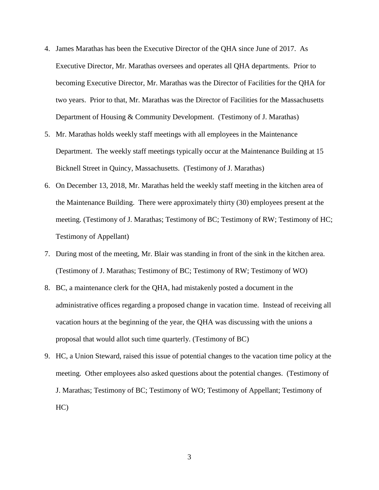- 4. James Marathas has been the Executive Director of the QHA since June of 2017. As Executive Director, Mr. Marathas oversees and operates all QHA departments. Prior to becoming Executive Director, Mr. Marathas was the Director of Facilities for the QHA for two years. Prior to that, Mr. Marathas was the Director of Facilities for the Massachusetts Department of Housing & Community Development. (Testimony of J. Marathas)
- 5. Mr. Marathas holds weekly staff meetings with all employees in the Maintenance Department. The weekly staff meetings typically occur at the Maintenance Building at 15 Bicknell Street in Quincy, Massachusetts. (Testimony of J. Marathas)
- 6. On December 13, 2018, Mr. Marathas held the weekly staff meeting in the kitchen area of the Maintenance Building. There were approximately thirty (30) employees present at the meeting. (Testimony of J. Marathas; Testimony of BC; Testimony of RW; Testimony of HC; Testimony of Appellant)
- 7. During most of the meeting, Mr. Blair was standing in front of the sink in the kitchen area. (Testimony of J. Marathas; Testimony of BC; Testimony of RW; Testimony of WO)
- 8. BC, a maintenance clerk for the QHA, had mistakenly posted a document in the administrative offices regarding a proposed change in vacation time. Instead of receiving all vacation hours at the beginning of the year, the QHA was discussing with the unions a proposal that would allot such time quarterly. (Testimony of BC)
- 9. HC, a Union Steward, raised this issue of potential changes to the vacation time policy at the meeting. Other employees also asked questions about the potential changes. (Testimony of J. Marathas; Testimony of BC; Testimony of WO; Testimony of Appellant; Testimony of HC)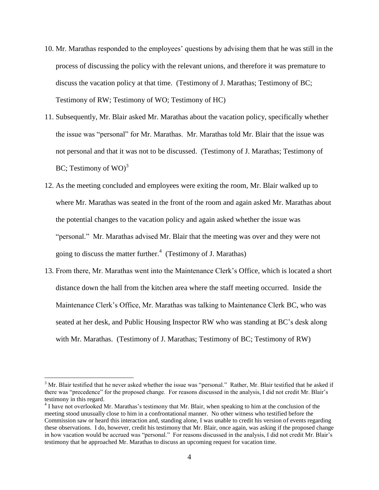- 10. Mr. Marathas responded to the employees' questions by advising them that he was still in the process of discussing the policy with the relevant unions, and therefore it was premature to discuss the vacation policy at that time. (Testimony of J. Marathas; Testimony of BC; Testimony of RW; Testimony of WO; Testimony of HC)
- 11. Subsequently, Mr. Blair asked Mr. Marathas about the vacation policy, specifically whether the issue was "personal" for Mr. Marathas. Mr. Marathas told Mr. Blair that the issue was not personal and that it was not to be discussed. (Testimony of J. Marathas; Testimony of BC; Testimony of WO) $^3$
- 12. As the meeting concluded and employees were exiting the room, Mr. Blair walked up to where Mr. Marathas was seated in the front of the room and again asked Mr. Marathas about the potential changes to the vacation policy and again asked whether the issue was "personal." Mr. Marathas advised Mr. Blair that the meeting was over and they were not going to discuss the matter further. $4$  (Testimony of J. Marathas)
- 13. From there, Mr. Marathas went into the Maintenance Clerk's Office, which is located a short distance down the hall from the kitchen area where the staff meeting occurred. Inside the Maintenance Clerk's Office, Mr. Marathas was talking to Maintenance Clerk BC, who was seated at her desk, and Public Housing Inspector RW who was standing at BC's desk along with Mr. Marathas. (Testimony of J. Marathas; Testimony of BC; Testimony of RW)

 $3$  Mr. Blair testified that he never asked whether the issue was "personal." Rather, Mr. Blair testified that he asked if there was "precedence" for the proposed change. For reasons discussed in the analysis, I did not credit Mr. Blair's testimony in this regard.

<sup>&</sup>lt;sup>4</sup> I have not overlooked Mr. Marathas's testimony that Mr. Blair, when speaking to him at the conclusion of the meeting stood unusually close to him in a confrontational manner. No other witness who testified before the Commission saw or heard this interaction and, standing alone, I was unable to credit his version of events regarding these observations. I do, however, credit his testimony that Mr. Blair, once again, was asking if the proposed change in how vacation would be accrued was "personal." For reasons discussed in the analysis, I did not credit Mr. Blair's testimony that he approached Mr. Marathas to discuss an upcoming request for vacation time.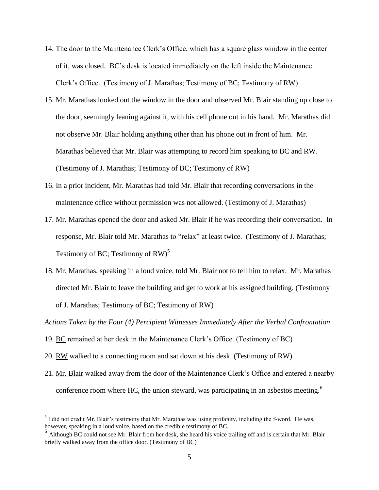- 14. The door to the Maintenance Clerk's Office, which has a square glass window in the center of it, was closed. BC's desk is located immediately on the left inside the Maintenance Clerk's Office. (Testimony of J. Marathas; Testimony of BC; Testimony of RW)
- 15. Mr. Marathas looked out the window in the door and observed Mr. Blair standing up close to the door, seemingly leaning against it, with his cell phone out in his hand. Mr. Marathas did not observe Mr. Blair holding anything other than his phone out in front of him. Mr. Marathas believed that Mr. Blair was attempting to record him speaking to BC and RW. (Testimony of J. Marathas; Testimony of BC; Testimony of RW)
- 16. In a prior incident, Mr. Marathas had told Mr. Blair that recording conversations in the maintenance office without permission was not allowed. (Testimony of J. Marathas)
- 17. Mr. Marathas opened the door and asked Mr. Blair if he was recording their conversation. In response, Mr. Blair told Mr. Marathas to "relax" at least twice. (Testimony of J. Marathas; Testimony of BC; Testimony of RW)<sup>5</sup>
- 18. Mr. Marathas, speaking in a loud voice, told Mr. Blair not to tell him to relax. Mr. Marathas directed Mr. Blair to leave the building and get to work at his assigned building. (Testimony of J. Marathas; Testimony of BC; Testimony of RW)

*Actions Taken by the Four (4) Percipient Witnesses Immediately After the Verbal Confrontation*

- 19. BC remained at her desk in the Maintenance Clerk's Office. (Testimony of BC)
- 20. RW walked to a connecting room and sat down at his desk. (Testimony of RW)

 $\overline{a}$ 

21. Mr. Blair walked away from the door of the Maintenance Clerk's Office and entered a nearby conference room where HC, the union steward, was participating in an asbestos meeting.<sup>6</sup>

 $<sup>5</sup>$  I did not credit Mr. Blair's testimony that Mr. Marathas was using profanity, including the f-word. He was,</sup> however, speaking in a loud voice, based on the credible testimony of BC.

<sup>&</sup>lt;sup>6</sup> Although BC could not see Mr. Blair from her desk, she heard his voice trailing off and is certain that Mr. Blair briefly walked away from the office door. (Testimony of BC)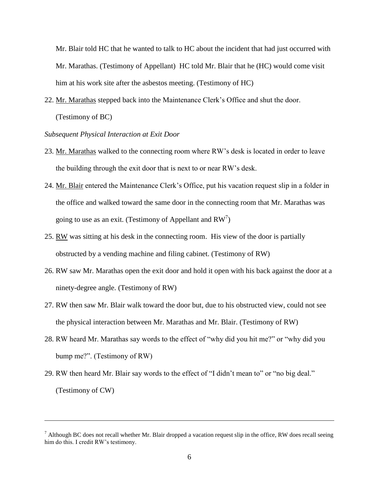Mr. Blair told HC that he wanted to talk to HC about the incident that had just occurred with Mr. Marathas. (Testimony of Appellant) HC told Mr. Blair that he (HC) would come visit him at his work site after the asbestos meeting. (Testimony of HC)

22. Mr. Marathas stepped back into the Maintenance Clerk's Office and shut the door. (Testimony of BC)

### *Subsequent Physical Interaction at Exit Door*

- 23. Mr. Marathas walked to the connecting room where RW's desk is located in order to leave the building through the exit door that is next to or near RW's desk.
- 24. Mr. Blair entered the Maintenance Clerk's Office, put his vacation request slip in a folder in the office and walked toward the same door in the connecting room that Mr. Marathas was going to use as an exit. (Testimony of Appellant and  $RW^7$ )
- 25. RW was sitting at his desk in the connecting room. His view of the door is partially obstructed by a vending machine and filing cabinet. (Testimony of RW)
- 26. RW saw Mr. Marathas open the exit door and hold it open with his back against the door at a ninety-degree angle. (Testimony of RW)
- 27. RW then saw Mr. Blair walk toward the door but, due to his obstructed view, could not see the physical interaction between Mr. Marathas and Mr. Blair. (Testimony of RW)
- 28. RW heard Mr. Marathas say words to the effect of "why did you hit me?" or "why did you bump me?". (Testimony of RW)
- 29. RW then heard Mr. Blair say words to the effect of "I didn't mean to" or "no big deal." (Testimony of CW)

 $<sup>7</sup>$  Although BC does not recall whether Mr. Blair dropped a vacation request slip in the office, RW does recall seeing</sup> him do this. I credit RW's testimony.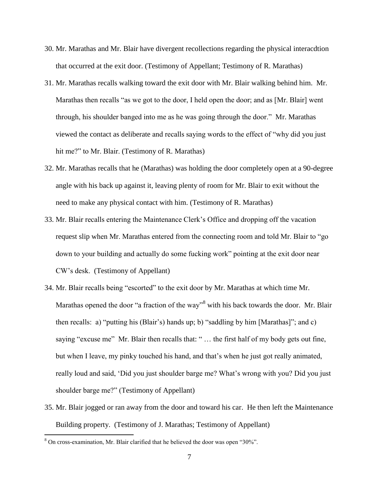- 30. Mr. Marathas and Mr. Blair have divergent recollections regarding the physical interacdtion that occurred at the exit door. (Testimony of Appellant; Testimony of R. Marathas)
- 31. Mr. Marathas recalls walking toward the exit door with Mr. Blair walking behind him. Mr. Marathas then recalls "as we got to the door, I held open the door; and as [Mr. Blair] went through, his shoulder banged into me as he was going through the door." Mr. Marathas viewed the contact as deliberate and recalls saying words to the effect of "why did you just hit me?" to Mr. Blair. (Testimony of R. Marathas)
- 32. Mr. Marathas recalls that he (Marathas) was holding the door completely open at a 90-degree angle with his back up against it, leaving plenty of room for Mr. Blair to exit without the need to make any physical contact with him. (Testimony of R. Marathas)
- 33. Mr. Blair recalls entering the Maintenance Clerk's Office and dropping off the vacation request slip when Mr. Marathas entered from the connecting room and told Mr. Blair to "go down to your building and actually do some fucking work" pointing at the exit door near CW's desk. (Testimony of Appellant)
- 34. Mr. Blair recalls being "escorted" to the exit door by Mr. Marathas at which time Mr. Marathas opened the door "a fraction of the way"<sup>8</sup> with his back towards the door. Mr. Blair then recalls: a) "putting his (Blair's) hands up; b) "saddling by him [Marathas]"; and c) saying "excuse me" Mr. Blair then recalls that: " ... the first half of my body gets out fine, but when I leave, my pinky touched his hand, and that's when he just got really animated, really loud and said, 'Did you just shoulder barge me? What's wrong with you? Did you just shoulder barge me?" (Testimony of Appellant)
- 35. Mr. Blair jogged or ran away from the door and toward his car. He then left the Maintenance Building property. (Testimony of J. Marathas; Testimony of Appellant)

<sup>8</sup> On cross-examination, Mr. Blair clarified that he believed the door was open "30%".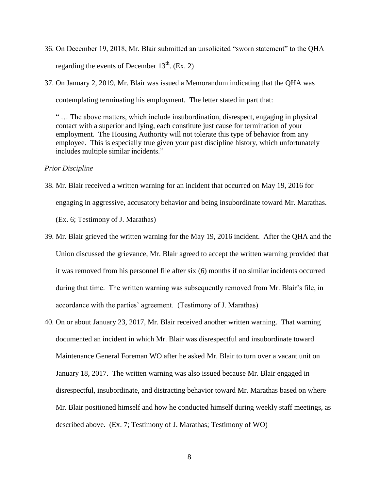- 36. On December 19, 2018, Mr. Blair submitted an unsolicited "sworn statement" to the QHA regarding the events of December  $13<sup>th</sup>$ . (Ex. 2)
- 37. On January 2, 2019, Mr. Blair was issued a Memorandum indicating that the QHA was contemplating terminating his employment. The letter stated in part that:

" … The above matters, which include insubordination, disrespect, engaging in physical contact with a superior and lying, each constitute just cause for termination of your employment. The Housing Authority will not tolerate this type of behavior from any employee. This is especially true given your past discipline history, which unfortunately includes multiple similar incidents."

#### *Prior Discipline*

- 38. Mr. Blair received a written warning for an incident that occurred on May 19, 2016 for engaging in aggressive, accusatory behavior and being insubordinate toward Mr. Marathas. (Ex. 6; Testimony of J. Marathas)
- 39. Mr. Blair grieved the written warning for the May 19, 2016 incident. After the QHA and the Union discussed the grievance, Mr. Blair agreed to accept the written warning provided that it was removed from his personnel file after six (6) months if no similar incidents occurred during that time. The written warning was subsequently removed from Mr. Blair's file, in accordance with the parties' agreement. (Testimony of J. Marathas)
- 40. On or about January 23, 2017, Mr. Blair received another written warning. That warning documented an incident in which Mr. Blair was disrespectful and insubordinate toward Maintenance General Foreman WO after he asked Mr. Blair to turn over a vacant unit on January 18, 2017. The written warning was also issued because Mr. Blair engaged in disrespectful, insubordinate, and distracting behavior toward Mr. Marathas based on where Mr. Blair positioned himself and how he conducted himself during weekly staff meetings, as described above. (Ex. 7; Testimony of J. Marathas; Testimony of WO)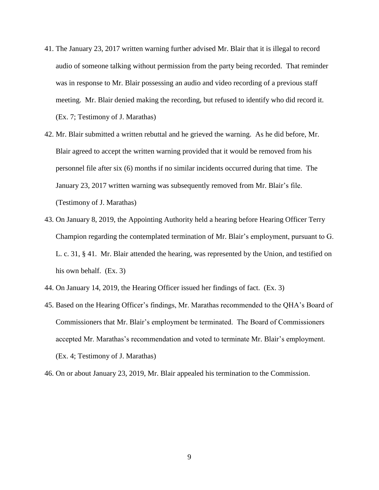- 41. The January 23, 2017 written warning further advised Mr. Blair that it is illegal to record audio of someone talking without permission from the party being recorded. That reminder was in response to Mr. Blair possessing an audio and video recording of a previous staff meeting. Mr. Blair denied making the recording, but refused to identify who did record it. (Ex. 7; Testimony of J. Marathas)
- 42. Mr. Blair submitted a written rebuttal and he grieved the warning. As he did before, Mr. Blair agreed to accept the written warning provided that it would be removed from his personnel file after six (6) months if no similar incidents occurred during that time. The January 23, 2017 written warning was subsequently removed from Mr. Blair's file. (Testimony of J. Marathas)
- 43. On January 8, 2019, the Appointing Authority held a hearing before Hearing Officer Terry Champion regarding the contemplated termination of Mr. Blair's employment, pursuant to G. L. c. 31, § 41. Mr. Blair attended the hearing, was represented by the Union, and testified on his own behalf. (Ex. 3)
- 44. On January 14, 2019, the Hearing Officer issued her findings of fact. (Ex. 3)
- 45. Based on the Hearing Officer's findings, Mr. Marathas recommended to the QHA's Board of Commissioners that Mr. Blair's employment be terminated. The Board of Commissioners accepted Mr. Marathas's recommendation and voted to terminate Mr. Blair's employment. (Ex. 4; Testimony of J. Marathas)
- 46. On or about January 23, 2019, Mr. Blair appealed his termination to the Commission.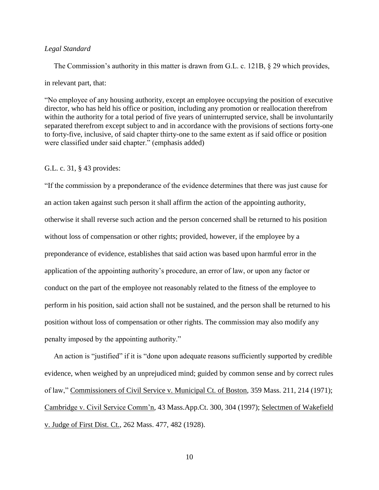### *Legal Standard*

 The Commission's authority in this matter is drawn from G.L. c. 121B, § 29 which provides, in relevant part, that:

"No employee of any housing authority, except an employee occupying the position of executive director, who has held his office or position, including any promotion or reallocation therefrom within the authority for a total period of five years of uninterrupted service, shall be involuntarily separated therefrom except subject to and in accordance with the provisions of sections forty-one to forty-five, inclusive, of said chapter thirty-one to the same extent as if said office or position were classified under said chapter." (emphasis added)

#### G.L. c. 31, § 43 provides:

"If the commission by a preponderance of the evidence determines that there was just cause for an action taken against such person it shall affirm the action of the appointing authority, otherwise it shall reverse such action and the person concerned shall be returned to his position without loss of compensation or other rights; provided, however, if the employee by a preponderance of evidence, establishes that said action was based upon harmful error in the application of the appointing authority's procedure, an error of law, or upon any factor or conduct on the part of the employee not reasonably related to the fitness of the employee to perform in his position, said action shall not be sustained, and the person shall be returned to his position without loss of compensation or other rights. The commission may also modify any penalty imposed by the appointing authority."

 An action is "justified" if it is "done upon adequate reasons sufficiently supported by credible evidence, when weighed by an unprejudiced mind; guided by common sense and by correct rules of law," Commissioners of Civil Service v. Municipal Ct. of Boston, 359 Mass. 211, 214 (1971); Cambridge v. Civil Service Comm'n, 43 Mass.App.Ct. 300, 304 (1997); Selectmen of Wakefield v. Judge of First Dist. Ct., 262 Mass. 477, 482 (1928).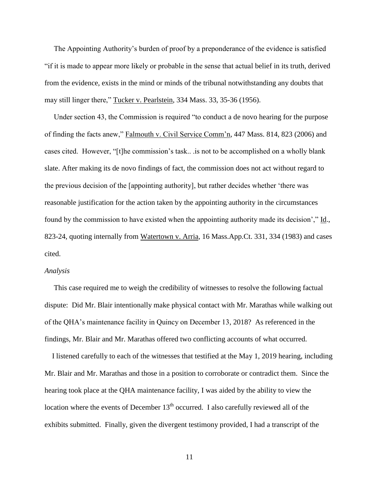The Appointing Authority's burden of proof by a preponderance of the evidence is satisfied "if it is made to appear more likely or probable in the sense that actual belief in its truth, derived from the evidence, exists in the mind or minds of the tribunal notwithstanding any doubts that may still linger there," Tucker v. Pearlstein, 334 Mass. 33, 35-36 (1956).

 Under section 43, the Commission is required "to conduct a de novo hearing for the purpose of finding the facts anew," Falmouth v. Civil Service Comm'n, 447 Mass. 814, 823 (2006) and cases cited. However, "[t]he commission's task.. .is not to be accomplished on a wholly blank slate. After making its de novo findings of fact, the commission does not act without regard to the previous decision of the [appointing authority], but rather decides whether 'there was reasonable justification for the action taken by the appointing authority in the circumstances found by the commission to have existed when the appointing authority made its decision'," Id., 823-24, quoting internally from Watertown v. Arria, 16 Mass.App.Ct. 331, 334 (1983) and cases cited.

#### *Analysis*

 This case required me to weigh the credibility of witnesses to resolve the following factual dispute: Did Mr. Blair intentionally make physical contact with Mr. Marathas while walking out of the QHA's maintenance facility in Quincy on December 13, 2018? As referenced in the findings, Mr. Blair and Mr. Marathas offered two conflicting accounts of what occurred.

 I listened carefully to each of the witnesses that testified at the May 1, 2019 hearing, including Mr. Blair and Mr. Marathas and those in a position to corroborate or contradict them. Since the hearing took place at the QHA maintenance facility, I was aided by the ability to view the location where the events of December  $13<sup>th</sup>$  occurred. I also carefully reviewed all of the exhibits submitted. Finally, given the divergent testimony provided, I had a transcript of the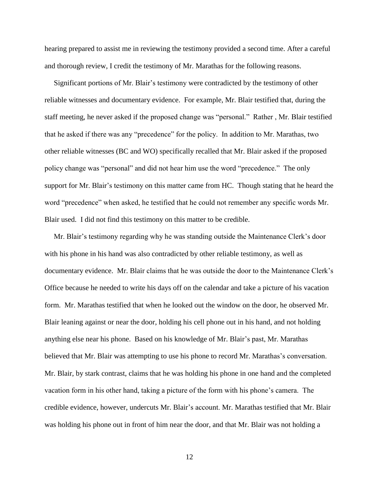hearing prepared to assist me in reviewing the testimony provided a second time. After a careful and thorough review, I credit the testimony of Mr. Marathas for the following reasons.

 Significant portions of Mr. Blair's testimony were contradicted by the testimony of other reliable witnesses and documentary evidence. For example, Mr. Blair testified that, during the staff meeting, he never asked if the proposed change was "personal." Rather , Mr. Blair testified that he asked if there was any "precedence" for the policy. In addition to Mr. Marathas, two other reliable witnesses (BC and WO) specifically recalled that Mr. Blair asked if the proposed policy change was "personal" and did not hear him use the word "precedence." The only support for Mr. Blair's testimony on this matter came from HC. Though stating that he heard the word "precedence" when asked, he testified that he could not remember any specific words Mr. Blair used. I did not find this testimony on this matter to be credible.

 Mr. Blair's testimony regarding why he was standing outside the Maintenance Clerk's door with his phone in his hand was also contradicted by other reliable testimony, as well as documentary evidence. Mr. Blair claims that he was outside the door to the Maintenance Clerk's Office because he needed to write his days off on the calendar and take a picture of his vacation form. Mr. Marathas testified that when he looked out the window on the door, he observed Mr. Blair leaning against or near the door, holding his cell phone out in his hand, and not holding anything else near his phone. Based on his knowledge of Mr. Blair's past, Mr. Marathas believed that Mr. Blair was attempting to use his phone to record Mr. Marathas's conversation. Mr. Blair, by stark contrast, claims that he was holding his phone in one hand and the completed vacation form in his other hand, taking a picture of the form with his phone's camera. The credible evidence, however, undercuts Mr. Blair's account. Mr. Marathas testified that Mr. Blair was holding his phone out in front of him near the door, and that Mr. Blair was not holding a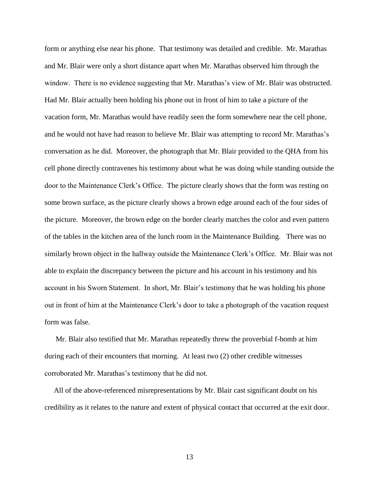form or anything else near his phone. That testimony was detailed and credible. Mr. Marathas and Mr. Blair were only a short distance apart when Mr. Marathas observed him through the window. There is no evidence suggesting that Mr. Marathas's view of Mr. Blair was obstructed. Had Mr. Blair actually been holding his phone out in front of him to take a picture of the vacation form, Mr. Marathas would have readily seen the form somewhere near the cell phone, and he would not have had reason to believe Mr. Blair was attempting to record Mr. Marathas's conversation as he did. Moreover, the photograph that Mr. Blair provided to the QHA from his cell phone directly contravenes his testimony about what he was doing while standing outside the door to the Maintenance Clerk's Office. The picture clearly shows that the form was resting on some brown surface, as the picture clearly shows a brown edge around each of the four sides of the picture. Moreover, the brown edge on the border clearly matches the color and even pattern of the tables in the kitchen area of the lunch room in the Maintenance Building. There was no similarly brown object in the hallway outside the Maintenance Clerk's Office. Mr. Blair was not able to explain the discrepancy between the picture and his account in his testimony and his account in his Sworn Statement. In short, Mr. Blair's testimony that he was holding his phone out in front of him at the Maintenance Clerk's door to take a photograph of the vacation request form was false.

 Mr. Blair also testified that Mr. Marathas repeatedly threw the proverbial f-bomb at him during each of their encounters that morning. At least two (2) other credible witnesses corroborated Mr. Marathas's testimony that he did not.

 All of the above-referenced misrepresentations by Mr. Blair cast significant doubt on his credibility as it relates to the nature and extent of physical contact that occurred at the exit door.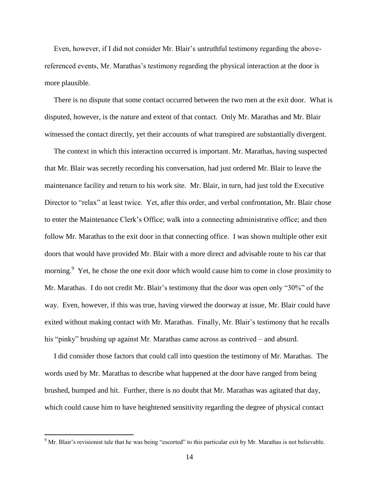Even, however, if I did not consider Mr. Blair's untruthful testimony regarding the abovereferenced events, Mr. Marathas's testimony regarding the physical interaction at the door is more plausible.

 There is no dispute that some contact occurred between the two men at the exit door.What is disputed, however, is the nature and extent of that contact. Only Mr. Marathas and Mr. Blair witnessed the contact directly, yet their accounts of what transpired are substantially divergent.

 The context in which this interaction occurred is important. Mr. Marathas, having suspected that Mr. Blair was secretly recording his conversation, had just ordered Mr. Blair to leave the maintenance facility and return to his work site. Mr. Blair, in turn, had just told the Executive Director to "relax" at least twice. Yet, after this order, and verbal confrontation, Mr. Blair chose to enter the Maintenance Clerk's Office; walk into a connecting administrative office; and then follow Mr. Marathas to the exit door in that connecting office. I was shown multiple other exit doors that would have provided Mr. Blair with a more direct and advisable route to his car that morning.<sup>9</sup> Yet, he chose the one exit door which would cause him to come in close proximity to Mr. Marathas. I do not credit Mr. Blair's testimony that the door was open only "30%" of the way. Even, however, if this was true, having viewed the doorway at issue, Mr. Blair could have exited without making contact with Mr. Marathas. Finally, Mr. Blair's testimony that he recalls his "pinky" brushing up against Mr. Marathas came across as contrived – and absurd.

 I did consider those factors that could call into question the testimony of Mr. Marathas. The words used by Mr. Marathas to describe what happened at the door have ranged from being brushed, bumped and hit. Further, there is no doubt that Mr. Marathas was agitated that day, which could cause him to have heightened sensitivity regarding the degree of physical contact

<sup>&</sup>lt;sup>9</sup> Mr. Blair's revisionist tale that he was being "escorted" to this particular exit by Mr. Marathas is not believable.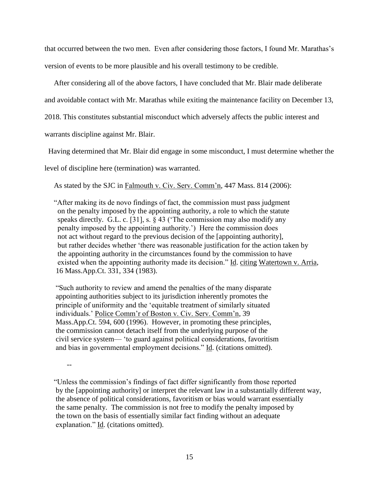that occurred between the two men. Even after considering those factors, I found Mr. Marathas's version of events to be more plausible and his overall testimony to be credible.

After considering all of the above factors, I have concluded that Mr. Blair made deliberate

and avoidable contact with Mr. Marathas while exiting the maintenance facility on December 13,

2018. This constitutes substantial misconduct which adversely affects the public interest and

warrants discipline against Mr. Blair.

Having determined that Mr. Blair did engage in some misconduct, I must determine whether the

level of discipline here (termination) was warranted.

As stated by the SJC in Falmouth v. Civ. Serv. Comm'n, 447 Mass. 814 (2006):

 "After making its de novo findings of fact, the commission must pass judgment on the penalty imposed by the appointing authority, a role to which the statute speaks directly. G.L. c. [31], s.  $\S$  43 ('The commission may also modify any penalty imposed by the appointing authority.') Here the commission does not act without regard to the previous decision of the [appointing authority], but rather decides whether 'there was reasonable justification for the action taken by the appointing authority in the circumstances found by the commission to have existed when the appointing authority made its decision." Id. citing Watertown v. Arria, 16 Mass.App.Ct. 331, 334 (1983).

"Such authority to review and amend the penalties of the many disparate appointing authorities subject to its jurisdiction inherently promotes the principle of uniformity and the 'equitable treatment of similarly situated individuals.' Police Comm'r of Boston v. Civ. Serv. Comm'n, 39 Mass.App.Ct. 594, 600 (1996). However, in promoting these principles, the commission cannot detach itself from the underlying purpose of the civil service system— 'to guard against political considerations, favoritism and bias in governmental employment decisions." Id. (citations omitted).

--

 "Unless the commission's findings of fact differ significantly from those reported by the [appointing authority] or interpret the relevant law in a substantially different way, the absence of political considerations, favoritism or bias would warrant essentially the same penalty. The commission is not free to modify the penalty imposed by the town on the basis of essentially similar fact finding without an adequate explanation." Id. (citations omitted).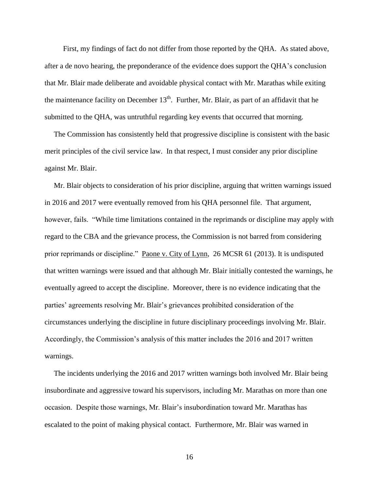First, my findings of fact do not differ from those reported by the QHA. As stated above, after a de novo hearing, the preponderance of the evidence does support the QHA's conclusion that Mr. Blair made deliberate and avoidable physical contact with Mr. Marathas while exiting the maintenance facility on December  $13<sup>th</sup>$ . Further, Mr. Blair, as part of an affidavit that he submitted to the QHA, was untruthful regarding key events that occurred that morning.

 The Commission has consistently held that progressive discipline is consistent with the basic merit principles of the civil service law. In that respect, I must consider any prior discipline against Mr. Blair.

 Mr. Blair objects to consideration of his prior discipline, arguing that written warnings issued in 2016 and 2017 were eventually removed from his QHA personnel file. That argument, however, fails. "While time limitations contained in the reprimands or discipline may apply with regard to the CBA and the grievance process, the Commission is not barred from considering prior reprimands or discipline." Paone v. City of Lynn, 26 MCSR 61 (2013). It is undisputed that written warnings were issued and that although Mr. Blair initially contested the warnings, he eventually agreed to accept the discipline. Moreover, there is no evidence indicating that the parties' agreements resolving Mr. Blair's grievances prohibited consideration of the circumstances underlying the discipline in future disciplinary proceedings involving Mr. Blair. Accordingly, the Commission's analysis of this matter includes the 2016 and 2017 written warnings.

 The incidents underlying the 2016 and 2017 written warnings both involved Mr. Blair being insubordinate and aggressive toward his supervisors, including Mr. Marathas on more than one occasion. Despite those warnings, Mr. Blair's insubordination toward Mr. Marathas has escalated to the point of making physical contact. Furthermore, Mr. Blair was warned in